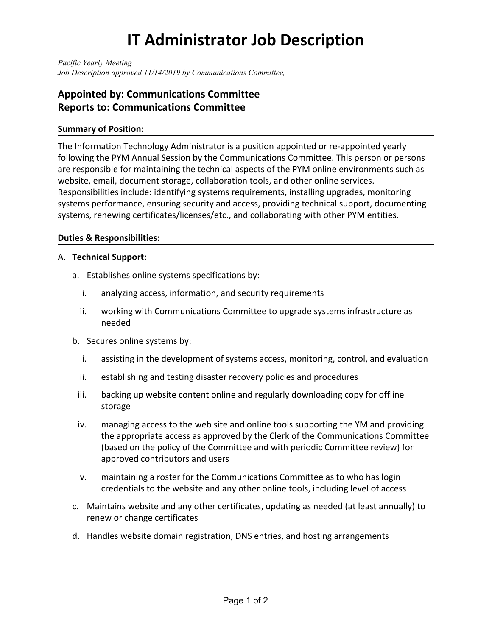# **IT Administrator Job Description**

*Pacific Yearly Meeting Job Description approved 11/14/2019 by Communications Committee,*

## **Appointed by: Communications Committee Reports to: Communications Committee**

### **Summary of Position:**

The Information Technology Administrator is a position appointed or re-appointed yearly following the PYM Annual Session by the Communications Committee. This person or persons are responsible for maintaining the technical aspects of the PYM online environments such as website, email, document storage, collaboration tools, and other online services. Responsibilities include: identifying systems requirements, installing upgrades, monitoring systems performance, ensuring security and access, providing technical support, documenting systems, renewing certificates/licenses/etc., and collaborating with other PYM entities.

### **Duties & Responsibilities:**

### A. **Technical Support:**

- a. Establishes online systems specifications by:
	- i. analyzing access, information, and security requirements
	- ii. working with Communications Committee to upgrade systems infrastructure as needed
- b. Secures online systems by:
	- i. assisting in the development of systems access, monitoring, control, and evaluation
	- ii. establishing and testing disaster recovery policies and procedures
	- iii. backing up website content online and regularly downloading copy for offline storage
	- iv. managing access to the web site and online tools supporting the YM and providing the appropriate access as approved by the Clerk of the Communications Committee (based on the policy of the Committee and with periodic Committee review) for approved contributors and users
	- v. maintaining a roster for the Communications Committee as to who has login credentials to the website and any other online tools, including level of access
- c. Maintains website and any other certificates, updating as needed (at least annually) to renew or change certificates
- d. Handles website domain registration, DNS entries, and hosting arrangements